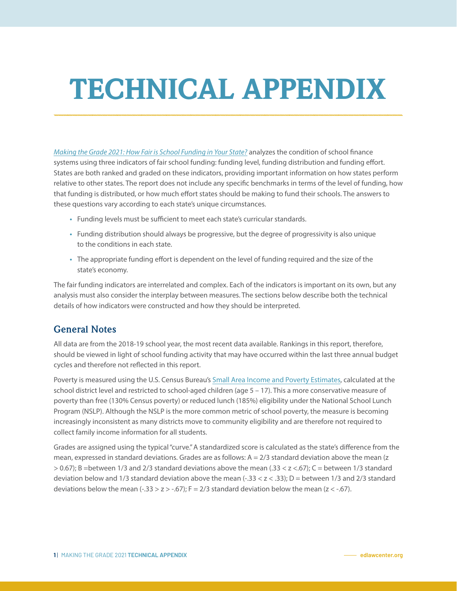# TECHNICAL APPENDIX

*[Making the Grade 2021: How Fair is School Funding in Your State?](https://edlawcenter.org/research/making-the-grade)* analyzes the condition of school finance systems using three indicators of fair school funding: funding level, funding distribution and funding effort. States are both ranked and graded on these indicators, providing important information on how states perform relative to other states. The report does not include any specific benchmarks in terms of the level of funding, how that funding is distributed, or how much effort states should be making to fund their schools. The answers to these questions vary according to each state's unique circumstances.

- Funding levels must be sufficient to meet each state's curricular standards.
- Funding distribution should always be progressive, but the degree of progressivity is also unique to the conditions in each state.
- The appropriate funding effort is dependent on the level of funding required and the size of the state's economy.

The fair funding indicators are interrelated and complex. Each of the indicators is important on its own, but any analysis must also consider the interplay between measures. The sections below describe both the technical details of how indicators were constructed and how they should be interpreted.

## **General Notes**

All data are from the 2018-19 school year, the most recent data available. Rankings in this report, therefore, should be viewed in light of school funding activity that may have occurred within the last three annual budget cycles and therefore not reflected in this report.

Poverty is measured using the U.S. Census Bureau's [Small Area Income and Poverty Estimates](https://www.census.gov/programs-surveys/saipe.html), calculated at the school district level and restricted to school-aged children (age 5 – 17). This a more conservative measure of poverty than free (130% Census poverty) or reduced lunch (185%) eligibility under the National School Lunch Program (NSLP). Although the NSLP is the more common metric of school poverty, the measure is becoming increasingly inconsistent as many districts move to community eligibility and are therefore not required to collect family income information for all students.

Grades are assigned using the typical "curve." A standardized score is calculated as the state's difference from the mean, expressed in standard deviations. Grades are as follows:  $A = 2/3$  standard deviation above the mean (z  $> 0.67$ ); B =between 1/3 and 2/3 standard deviations above the mean (.33 < z <.67); C = between 1/3 standard deviation below and 1/3 standard deviation above the mean  $(-33 < z < 0.33)$ ; D = between 1/3 and 2/3 standard deviations below the mean  $(-33 > z > -67)$ ;  $F = 2/3$  standard deviation below the mean  $(z < -67)$ .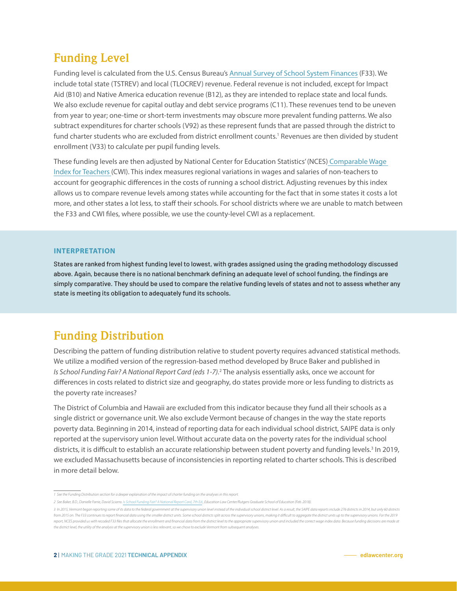# **Funding Level**

Funding level is calculated from the U.S. Census Bureau's [Annual Survey of School System Finances](https://www.census.gov/programs-surveys/school-finances.html) (F33). We include total state (TSTREV) and local (TLOCREV) revenue. Federal revenue is not included, except for Impact Aid (B10) and Native America education revenue (B12), as they are intended to replace state and local funds. We also exclude revenue for capital outlay and debt service programs (C11). These revenues tend to be uneven from year to year; one-time or short-term investments may obscure more prevalent funding patterns. We also subtract expenditures for charter schools (V92) as these represent funds that are passed through the district to fund charter students who are excluded from district enrollment counts.<sup>1</sup> Revenues are then divided by student enrollment (V33) to calculate per pupil funding levels.

These funding levels are then adjusted by National Center for Education Statistics' (NCES) [Comparable Wage](https://nces.ed.gov/programs/edge/Economic/TeacherWage)  [Index for Teachers](https://nces.ed.gov/programs/edge/Economic/TeacherWage) (CWI). This index measures regional variations in wages and salaries of non-teachers to account for geographic differences in the costs of running a school district. Adjusting revenues by this index allows us to compare revenue levels among states while accounting for the fact that in some states it costs a lot more, and other states a lot less, to staff their schools. For school districts where we are unable to match between the F33 and CWI files, where possible, we use the county-level CWI as a replacement.

#### **INTERPRETATION**

States are ranked from highest funding level to lowest, with grades assigned using the grading methodology discussed above. Again, because there is no national benchmark defining an adequate level of school funding, the findings are simply comparative. They should be used to compare the relative funding levels of states and not to assess whether any state is meeting its obligation to adequately fund its schools.

## **Funding Distribution**

Describing the pattern of funding distribution relative to student poverty requires advanced statistical methods. We utilize a modified version of the regression-based method developed by Bruce Baker and published in *Is School Funding Fair? A National Report Card (eds 1-7).*<sup>2</sup> The analysis essentially asks, once we account for differences in costs related to district size and geography, do states provide more or less funding to districts as the poverty rate increases?

The District of Columbia and Hawaii are excluded from this indicator because they fund all their schools as a single district or governance unit. We also exclude Vermont because of changes in the way the state reports poverty data. Beginning in 2014, instead of reporting data for each individual school district, SAIPE data is only reported at the supervisory union level. Without accurate data on the poverty rates for the individual school districts, it is difficult to establish an accurate relationship between student poverty and funding levels.<sup>3</sup> In 2019, we excluded Massachusetts because of inconsistencies in reporting related to charter schools. This is described in more detail below.

*<sup>1</sup> See the Funding Distribution section for a deeper explanation of the impact of charter funding on the analyses in this report.*

*<sup>2</sup> See Baker, B.D., Danielle Farrie, David Sciarra. [Is School Funding Fair? A National Report Card, 7th Ed.](https://edlawcenter.org/assets/files/pdfs/publications/Is_School_Funding_Fair_7th_Editi.pdf), Education Law Center/Rutgers Graduate School of Education (Feb. 2018).* 

<sup>3</sup> In 2015, Vermont began reporting some of its data to the federal government at the supervisory union level instead of the individual school district level. As a result, the SAIPE data reports include 276 districts in 201 from 2015 on. The F33 continues to report financial data using the smaller district units. Some school districts split across the supervisory unions, making it difficult to aggregate the district units up to the supervisor report, NCES provided us with recoded F33 files that allocate the enrollment and financial data from the district level to the appropriate supervisory union and included the correct wage index data. Because funding decisio *the district level, the utility of the analysis at the supervisory union is less relevant, so we chose to exclude Vermont from subsequent analyses.*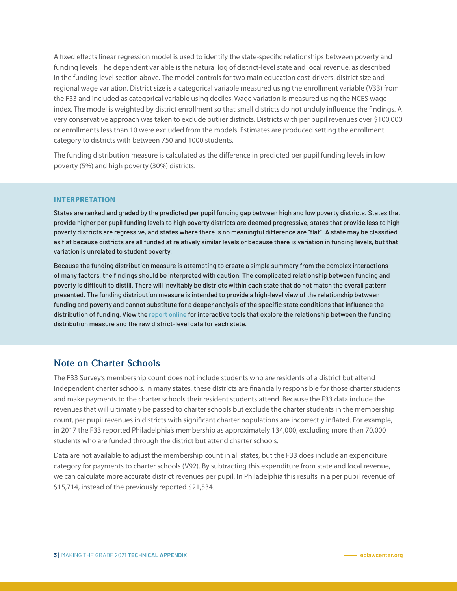A fixed effects linear regression model is used to identify the state-specific relationships between poverty and funding levels. The dependent variable is the natural log of district-level state and local revenue, as described in the funding level section above. The model controls for two main education cost-drivers: district size and regional wage variation. District size is a categorical variable measured using the enrollment variable (V33) from the F33 and included as categorical variable using deciles. Wage variation is measured using the NCES wage index. The model is weighted by district enrollment so that small districts do not unduly influence the findings. A very conservative approach was taken to exclude outlier districts. Districts with per pupil revenues over \$100,000 or enrollments less than 10 were excluded from the models. Estimates are produced setting the enrollment category to districts with between 750 and 1000 students.

The funding distribution measure is calculated as the difference in predicted per pupil funding levels in low poverty (5%) and high poverty (30%) districts.

#### **INTERPRETATION**

States are ranked and graded by the predicted per pupil funding gap between high and low poverty districts. States that provide higher per pupil funding levels to high poverty districts are deemed progressive, states that provide less to high poverty districts are regressive, and states where there is no meaningful difference are "flat". A state may be classified as flat because districts are all funded at relatively similar levels or because there is variation in funding levels, but that variation is unrelated to student poverty.

Because the funding distribution measure is attempting to create a simple summary from the complex interactions of many factors, the findings should be interpreted with caution. The complicated relationship between funding and poverty is difficult to distill. There will inevitably be districts within each state that do not match the overall pattern presented. The funding distribution measure is intended to provide a high-level view of the relationship between funding and poverty and cannot substitute for a deeper analysis of the specific state conditions that influence the distribution of funding. View the [report online](https://edlawcenter.org/research/mtg-full-report.html) for interactive tools that explore the relationship between the funding distribution measure and the raw district-level data for each state.

### **Note on Charter Schools**

The F33 Survey's membership count does not include students who are residents of a district but attend independent charter schools. In many states, these districts are financially responsible for those charter students and make payments to the charter schools their resident students attend. Because the F33 data include the revenues that will ultimately be passed to charter schools but exclude the charter students in the membership count, per pupil revenues in districts with significant charter populations are incorrectly inflated. For example, in 2017 the F33 reported Philadelphia's membership as approximately 134,000, excluding more than 70,000 students who are funded through the district but attend charter schools.

Data are not available to adjust the membership count in all states, but the F33 does include an expenditure category for payments to charter schools (V92). By subtracting this expenditure from state and local revenue, we can calculate more accurate district revenues per pupil. In Philadelphia this results in a per pupil revenue of \$15,714, instead of the previously reported \$21,534.